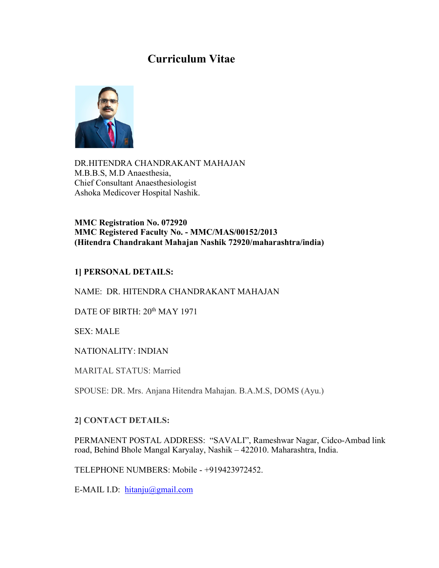# **Curriculum Vitae**



DR.HITENDRA CHANDRAKANT MAHAJAN M.B.B.S, M.D Anaesthesia, Chief Consultant Anaesthesiologist Ashoka Medicover Hospital Nashik.

**MMC Registration No. 072920 MMC Registered Faculty No. - MMC/MAS/00152/2013 (Hitendra Chandrakant Mahajan Nashik 72920/maharashtra/india)**

## **1] PERSONAL DETAILS:**

NAME: DR. HITENDRA CHANDRAKANT MAHAJAN

DATE OF BIRTH:  $20<sup>th</sup>$  MAY 1971

SEX: MALE

NATIONALITY: INDIAN

MARITAL STATUS: Married

SPOUSE: DR. Mrs. Anjana Hitendra Mahajan. B.A.M.S, DOMS (Ayu.)

#### **2] CONTACT DETAILS:**

PERMANENT POSTAL ADDRESS: "SAVALI", Rameshwar Nagar, Cidco-Ambad link road, Behind Bhole Mangal Karyalay, Nashik – 422010. Maharashtra, India.

TELEPHONE NUMBERS: Mobile - +919423972452.

E-MAIL I.D: hitanju@gmail.com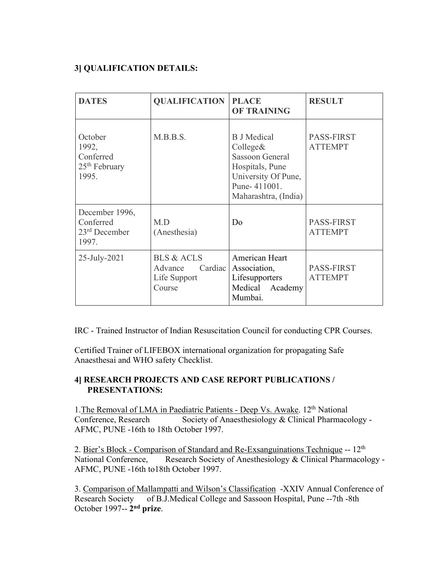## **3] QUALIFICATION DETAILS:**

| <b>DATES</b>                                                        | <b>QUALIFICATION</b>                                                  | <b>PLACE</b><br><b>OF TRAINING</b>                                                                                                         | <b>RESULT</b>                       |
|---------------------------------------------------------------------|-----------------------------------------------------------------------|--------------------------------------------------------------------------------------------------------------------------------------------|-------------------------------------|
| October<br>1992,<br>Conferred<br>25 <sup>th</sup> February<br>1995. | M.B.B.S.                                                              | <b>B</b> J Medical<br>Collect&<br><b>Sassoon General</b><br>Hospitals, Pune<br>University Of Pune,<br>Pune-411001.<br>Maharashtra, (India) | <b>PASS-FIRST</b><br><b>ATTEMPT</b> |
| December 1996,<br>Conferred<br>23 <sup>rd</sup> December<br>1997.   | M.D<br>(Anesthesia)                                                   | D <sub>0</sub>                                                                                                                             | <b>PASS-FIRST</b><br><b>ATTEMPT</b> |
| 25-July-2021                                                        | <b>BLS &amp; ACLS</b><br>Cardiac<br>Advance<br>Life Support<br>Course | American Heart<br>Association,<br>Lifesupporters<br>Medical Academy<br>Mumbai.                                                             | <b>PASS-FIRST</b><br><b>ATTEMPT</b> |

IRC - Trained Instructor of Indian Resuscitation Council for conducting CPR Courses.

Certified Trainer of LIFEBOX international organization for propagating Safe Anaesthesai and WHO safety Checklist.

## **4] RESEARCH PROJECTS AND CASE REPORT PUBLICATIONS / PRESENTATIONS:**

1. The Removal of LMA in Paediatric Patients - Deep Vs. Awake. 12<sup>th</sup> National Conference, Research Society of Anaesthesiology & Clinical Pharmacology -AFMC, PUNE -16th to 18th October 1997.

2. Bier's Block - Comparison of Standard and Re-Exsanguinations Technique -- 12<sup>th</sup> National Conference, Research Society of Anesthesiology & Clinical Pharmacology - AFMC, PUNE -16th to18th October 1997.

3. Comparison of Mallampatti and Wilson's Classification -XXIV Annual Conference of Research Society of B.J.Medical College and Sassoon Hospital, Pune --7th -8th October 1997-- **2nd prize**.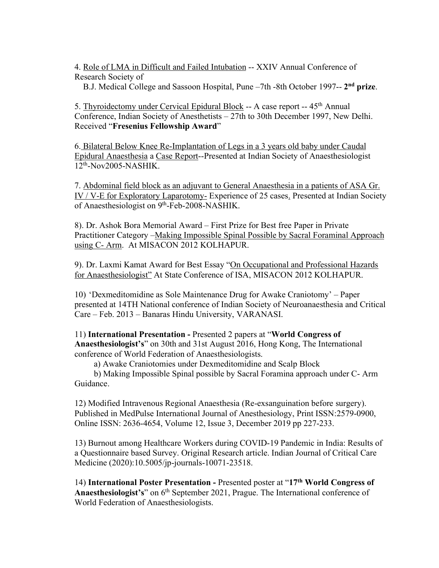4. Role of LMA in Difficult and Failed Intubation -- XXIV Annual Conference of Research Society of

B.J. Medical College and Sassoon Hospital, Pune –7th -8th October 1997-- **2nd prize**.

5. Thyroidectomy under Cervical Epidural Block -- A case report -- 45<sup>th</sup> Annual Conference, Indian Society of Anesthetists – 27th to 30th December 1997, New Delhi. Received "**Fresenius Fellowship Award**"

6. Bilateral Below Knee Re-Implantation of Legs in a 3 years old baby under Caudal Epidural Anaesthesia a Case Report--Presented at Indian Society of Anaesthesiologist 12th-Nov2005-NASHIK.

7. Abdominal field block as an adjuvant to General Anaesthesia in a patients of ASA Gr. IV / V-E for Exploratory Laparotomy- Experience of 25 cases. Presented at Indian Society of Anaesthesiologist on 9<sup>th</sup>-Feb-2008-NASHIK.

8). Dr. Ashok Bora Memorial Award – First Prize for Best free Paper in Private Practitioner Category – Making Impossible Spinal Possible by Sacral Foraminal Approach using C- Arm. At MISACON 2012 KOLHAPUR.

9). Dr. Laxmi Kamat Award for Best Essay "On Occupational and Professional Hazards for Anaesthesiologist" At State Conference of ISA, MISACON 2012 KOLHAPUR.

10) 'Dexmeditomidine as Sole Maintenance Drug for Awake Craniotomy' – Paper presented at 14TH National conference of Indian Society of Neuroanaesthesia and Critical Care – Feb. 2013 – Banaras Hindu University, VARANASI.

11) **International Presentation -** Presented 2 papers at "**World Congress of Anaesthesiologist's**" on 30th and 31st August 2016, Hong Kong, The International conference of World Federation of Anaesthesiologists.

a) Awake Craniotomies under Dexmeditomidine and Scalp Block

 b) Making Impossible Spinal possible by Sacral Foramina approach under C- Arm Guidance.

12) Modified Intravenous Regional Anaesthesia (Re-exsanguination before surgery). Published in MedPulse International Journal of Anesthesiology, Print ISSN:2579-0900, Online ISSN: 2636-4654, Volume 12, Issue 3, December 2019 pp 227-233.

13) Burnout among Healthcare Workers during COVID-19 Pandemic in India: Results of a Questionnaire based Survey. Original Research article. Indian Journal of Critical Care Medicine (2020):10.5005/jp-journals-10071-23518.

14) **International Poster Presentation -** Presented poster at "**17th World Congress of** Anaesthesiologist's" on 6<sup>th</sup> September 2021, Prague. The International conference of World Federation of Anaesthesiologists.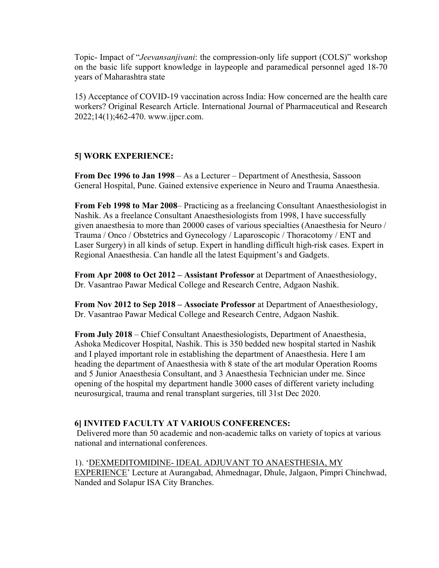Topic- Impact of "*Jeevansanjivani*: the compression-only life support (COLS)" workshop on the basic life support knowledge in laypeople and paramedical personnel aged 18-70 years of Maharashtra state

15) Acceptance of COVID-19 vaccination across India: How concerned are the health care workers? Original Research Article. International Journal of Pharmaceutical and Research 2022;14(1);462-470. www.ijpcr.com.

## **5] WORK EXPERIENCE:**

**From Dec 1996 to Jan 1998** – As a Lecturer – Department of Anesthesia, Sassoon General Hospital, Pune. Gained extensive experience in Neuro and Trauma Anaesthesia.

**From Feb 1998 to Mar 2008**– Practicing as a freelancing Consultant Anaesthesiologist in Nashik. As a freelance Consultant Anaesthesiologists from 1998, I have successfully given anaesthesia to more than 20000 cases of various specialties (Anaesthesia for Neuro / Trauma / Onco / Obstetrics and Gynecology / Laparoscopic / Thoracotomy / ENT and Laser Surgery) in all kinds of setup. Expert in handling difficult high-risk cases. Expert in Regional Anaesthesia. Can handle all the latest Equipment's and Gadgets.

**From Apr 2008 to Oct 2012 – Assistant Professor** at Department of Anaesthesiology, Dr. Vasantrao Pawar Medical College and Research Centre, Adgaon Nashik.

**From Nov 2012 to Sep 2018 – Associate Professor** at Department of Anaesthesiology, Dr. Vasantrao Pawar Medical College and Research Centre, Adgaon Nashik.

**From July 2018** – Chief Consultant Anaesthesiologists, Department of Anaesthesia, Ashoka Medicover Hospital, Nashik. This is 350 bedded new hospital started in Nashik and I played important role in establishing the department of Anaesthesia. Here I am heading the department of Anaesthesia with 8 state of the art modular Operation Rooms and 5 Junior Anaesthesia Consultant, and 3 Anaesthesia Technician under me. Since opening of the hospital my department handle 3000 cases of different variety including neurosurgical, trauma and renal transplant surgeries, till 31st Dec 2020.

#### **6] INVITED FACULTY AT VARIOUS CONFERENCES:**

Delivered more than 50 academic and non-academic talks on variety of topics at various national and international conferences.

#### 1). 'DEXMEDITOMIDINE- IDEAL ADJUVANT TO ANAESTHESIA, MY

EXPERIENCE' Lecture at Aurangabad, Ahmednagar, Dhule, Jalgaon, Pimpri Chinchwad, Nanded and Solapur ISA City Branches.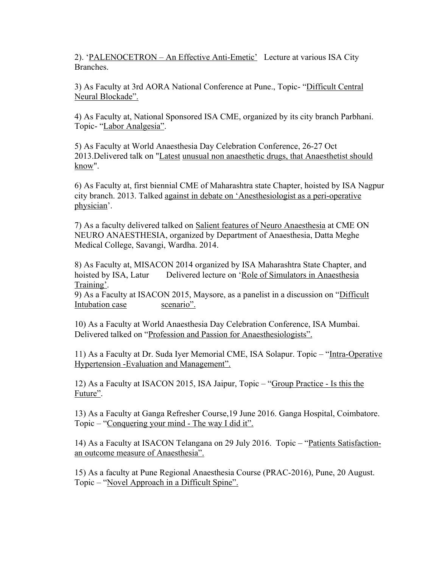2). 'PALENOCETRON – An Effective Anti-Emetic' Lecture at various ISA City Branches.

3) As Faculty at 3rd AORA National Conference at Pune., Topic- "Difficult Central Neural Blockade".

4) As Faculty at, National Sponsored ISA CME, organized by its city branch Parbhani. Topic- "Labor Analgesia".

5) As Faculty at World Anaesthesia Day Celebration Conference, 26-27 Oct 2013.Delivered talk on "Latest unusual non anaesthetic drugs, that Anaesthetist should know".

6) As Faculty at, first biennial CME of Maharashtra state Chapter, hoisted by ISA Nagpur city branch. 2013. Talked against in debate on 'Anesthesiologist as a peri-operative physician'.

7) As a faculty delivered talked on Salient features of Neuro Anaesthesia at CME ON NEURO ANAESTHESIA, organized by Department of Anaesthesia, Datta Meghe Medical College, Savangi, Wardha. 2014.

8) As Faculty at, MISACON 2014 organized by ISA Maharashtra State Chapter, and hoisted by ISA, Latur Delivered lecture on 'Role of Simulators in Anaesthesia Training'.

9) As a Faculty at ISACON 2015, Maysore, as a panelist in a discussion on "Difficult Intubation case scenario".

10) As a Faculty at World Anaesthesia Day Celebration Conference, ISA Mumbai. Delivered talked on "Profession and Passion for Anaesthesiologists".

11) As a Faculty at Dr. Suda Iyer Memorial CME, ISA Solapur. Topic – "Intra-Operative Hypertension -Evaluation and Management".

12) As a Faculty at ISACON 2015, ISA Jaipur, Topic – "Group Practice - Is this the Future".

13) As a Faculty at Ganga Refresher Course,19 June 2016. Ganga Hospital, Coimbatore. Topic – "Conquering your mind - The way I did it".

14) As a Faculty at ISACON Telangana on 29 July 2016. Topic – "Patients Satisfactionan outcome measure of Anaesthesia".

15) As a faculty at Pune Regional Anaesthesia Course (PRAC-2016), Pune, 20 August. Topic – "Novel Approach in a Difficult Spine".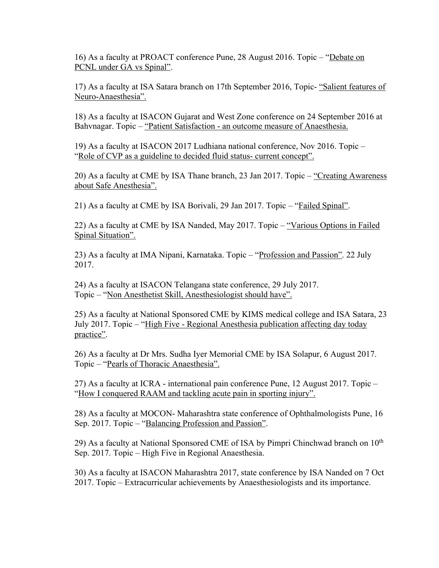16) As a faculty at PROACT conference Pune, 28 August 2016. Topic – "Debate on PCNL under GA vs Spinal".

17) As a faculty at ISA Satara branch on 17th September 2016, Topic- "Salient features of Neuro-Anaesthesia".

18) As a faculty at ISACON Gujarat and West Zone conference on 24 September 2016 at Bahvnagar. Topic – "Patient Satisfaction - an outcome measure of Anaesthesia.

19) As a faculty at ISACON 2017 Ludhiana national conference, Nov 2016. Topic – "Role of CVP as a guideline to decided fluid status- current concept".

20) As a faculty at CME by ISA Thane branch, 23 Jan 2017. Topic – "Creating Awareness about Safe Anesthesia".

21) As a faculty at CME by ISA Borivali, 29 Jan 2017. Topic – "Failed Spinal".

22) As a faculty at CME by ISA Nanded, May 2017. Topic – "Various Options in Failed Spinal Situation".

23) As a faculty at IMA Nipani, Karnataka. Topic – "Profession and Passion". 22 July 2017.

24) As a faculty at ISACON Telangana state conference, 29 July 2017. Topic – "Non Anesthetist Skill, Anesthesiologist should have".

25) As a faculty at National Sponsored CME by KIMS medical college and ISA Satara, 23 July 2017. Topic – "High Five - Regional Anesthesia publication affecting day today practice".

26) As a faculty at Dr Mrs. Sudha Iyer Memorial CME by ISA Solapur, 6 August 2017. Topic – "Pearls of Thoracic Anaesthesia".

27) As a faculty at ICRA - international pain conference Pune, 12 August 2017. Topic – "How I conquered RAAM and tackling acute pain in sporting injury".

28) As a faculty at MOCON- Maharashtra state conference of Ophthalmologists Pune, 16 Sep. 2017. Topic – "Balancing Profession and Passion".

29) As a faculty at National Sponsored CME of ISA by Pimpri Chinchwad branch on  $10<sup>th</sup>$ Sep. 2017. Topic – High Five in Regional Anaesthesia.

30) As a faculty at ISACON Maharashtra 2017, state conference by ISA Nanded on 7 Oct 2017. Topic – Extracurricular achievements by Anaesthesiologists and its importance.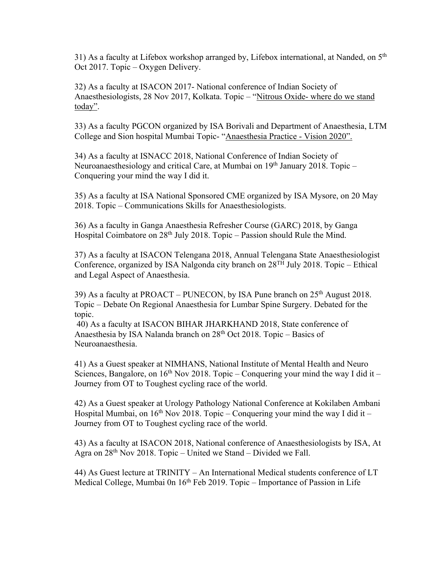31) As a faculty at Lifebox workshop arranged by, Lifebox international, at Nanded, on  $5<sup>th</sup>$ Oct 2017. Topic – Oxygen Delivery.

32) As a faculty at ISACON 2017- National conference of Indian Society of Anaesthesiologists, 28 Nov 2017, Kolkata. Topic – "Nitrous Oxide- where do we stand today".

33) As a faculty PGCON organized by ISA Borivali and Department of Anaesthesia, LTM College and Sion hospital Mumbai Topic- "Anaesthesia Practice - Vision 2020".

34) As a faculty at ISNACC 2018, National Conference of Indian Society of Neuroanaesthesiology and critical Care, at Mumbai on  $19<sup>th</sup>$  January 2018. Topic – Conquering your mind the way I did it.

35) As a faculty at ISA National Sponsored CME organized by ISA Mysore, on 20 May 2018. Topic – Communications Skills for Anaesthesiologists.

36) As a faculty in Ganga Anaesthesia Refresher Course (GARC) 2018, by Ganga Hospital Coimbatore on 28<sup>th</sup> July 2018. Topic – Passion should Rule the Mind.

37) As a faculty at ISACON Telengana 2018, Annual Telengana State Anaesthesiologist Conference, organized by ISA Nalgonda city branch on  $28^{TH}$  July 2018. Topic – Ethical and Legal Aspect of Anaesthesia.

39) As a faculty at PROACT – PUNECON, by ISA Pune branch on  $25<sup>th</sup>$  August 2018. Topic – Debate On Regional Anaesthesia for Lumbar Spine Surgery. Debated for the topic.

40) As a faculty at ISACON BIHAR JHARKHAND 2018, State conference of Anaesthesia by ISA Nalanda branch on 28<sup>th</sup> Oct 2018. Topic – Basics of Neuroanaesthesia.

41) As a Guest speaker at NIMHANS, National Institute of Mental Health and Neuro Sciences, Bangalore, on  $16<sup>th</sup>$  Nov 2018. Topic – Conquering your mind the way I did it – Journey from OT to Toughest cycling race of the world.

42) As a Guest speaker at Urology Pathology National Conference at Kokilaben Ambani Hospital Mumbai, on  $16<sup>th</sup>$  Nov 2018. Topic – Conquering your mind the way I did it – Journey from OT to Toughest cycling race of the world.

43) As a faculty at ISACON 2018, National conference of Anaesthesiologists by ISA, At Agra on  $28<sup>th</sup>$  Nov 2018. Topic – United we Stand – Divided we Fall.

44) As Guest lecture at TRINITY – An International Medical students conference of LT Medical College, Mumbai 0n  $16<sup>th</sup>$  Feb 2019. Topic – Importance of Passion in Life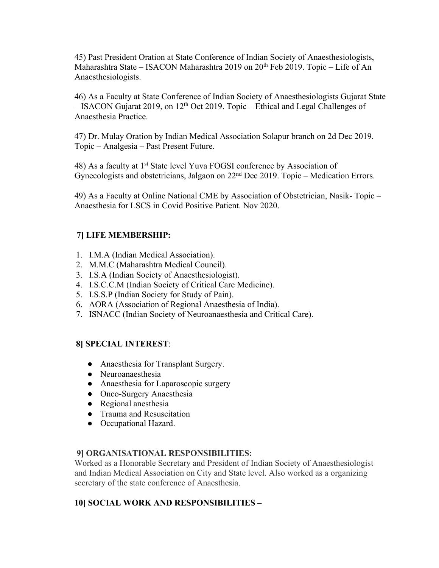45) Past President Oration at State Conference of Indian Society of Anaesthesiologists, Maharashtra State – ISACON Maharashtra 2019 on 20<sup>th</sup> Feb 2019. Topic – Life of An Anaesthesiologists.

46) As a Faculty at State Conference of Indian Society of Anaesthesiologists Gujarat State – ISACON Gujarat 2019, on 12<sup>th</sup> Oct 2019. Topic – Ethical and Legal Challenges of Anaesthesia Practice.

47) Dr. Mulay Oration by Indian Medical Association Solapur branch on 2d Dec 2019. Topic – Analgesia – Past Present Future.

48) As a faculty at 1<sup>st</sup> State level Yuva FOGSI conference by Association of Gynecologists and obstetricians, Jalgaon on 22<sup>nd</sup> Dec 2019. Topic – Medication Errors.

49) As a Faculty at Online National CME by Association of Obstetrician, Nasik- Topic – Anaesthesia for LSCS in Covid Positive Patient. Nov 2020.

## **7] LIFE MEMBERSHIP:**

- 1. I.M.A (Indian Medical Association).
- 2. M.M.C (Maharashtra Medical Council).
- 3. I.S.A (Indian Society of Anaesthesiologist).
- 4. I.S.C.C.M (Indian Society of Critical Care Medicine).
- 5. I.S.S.P (Indian Society for Study of Pain).
- 6. AORA (Association of Regional Anaesthesia of India).
- 7. ISNACC (Indian Society of Neuroanaesthesia and Critical Care).

## **8] SPECIAL INTEREST**:

- Anaesthesia for Transplant Surgery.
- Neuroanaesthesia
- Anaesthesia for Laparoscopic surgery
- Onco-Surgery Anaesthesia
- Regional anesthesia
- Trauma and Resuscitation
- Occupational Hazard.

## **9] ORGANISATIONAL RESPONSIBILITIES:**

Worked as a Honorable Secretary and President of Indian Society of Anaesthesiologist and Indian Medical Association on City and State level. Also worked as a organizing secretary of the state conference of Anaesthesia.

## **10] SOCIAL WORK AND RESPONSIBILITIES –**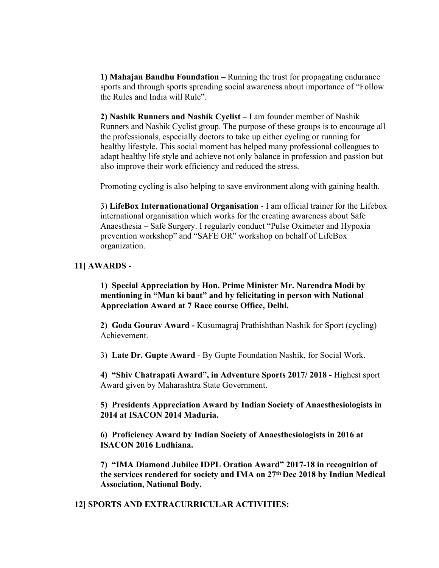**1) Mahajan Bandhu Foundation –** Running the trust for propagating endurance sports and through sports spreading social awareness about importance of "Follow the Rules and India will Rule".

**2) Nashik Runners and Nashik Cyclist –** I am founder member of Nashik Runners and Nashik Cyclist group. The purpose of these groups is to encourage all the professionals, especially doctors to take up either cycling or running for healthy lifestyle. This social moment has helped many professional colleagues to adapt healthy life style and achieve not only balance in profession and passion but also improve their work efficiency and reduced the stress.

Promoting cycling is also helping to save environment along with gaining health.

3) **LifeBox Internationational Organisation** - I am official trainer for the Lifebox international organisation which works for the creating awareness about Safe Anaesthesia – Safe Surgery. I regularly conduct "Pulse Oximeter and Hypoxia prevention workshop" and "SAFE OR" workshop on behalf of LifeBox organization.

#### **11] AWARDS -**

**1) Special Appreciation by Hon. Prime Minister Mr. Narendra Modi by mentioning in "Man ki baat" and by felicitating in person with National Appreciation Award at 7 Race course Office, Delhi.** 

**2) Goda Gourav Award -** Kusumagraj Prathishthan Nashik for Sport (cycling) Achievement.

3) **Late Dr. Gupte Award** - By Gupte Foundation Nashik, for Social Work.

**4) "Shiv Chatrapati Award", in Adventure Sports 2017/ 2018 -** Highest sport Award given by Maharashtra State Government.

**5) Presidents Appreciation Award by Indian Society of Anaesthesiologists in 2014 at ISACON 2014 Maduria.** 

**6) Proficiency Award by Indian Society of Anaesthesiologists in 2016 at ISACON 2016 Ludhiana.** 

**7) "IMA Diamond Jubilee IDPL Oration Award" 2017-18 in recognition of the services rendered for society and IMA on 27th Dec 2018 by Indian Medical Association, National Body.** 

#### **12] SPORTS AND EXTRACURRICULAR ACTIVITIES:**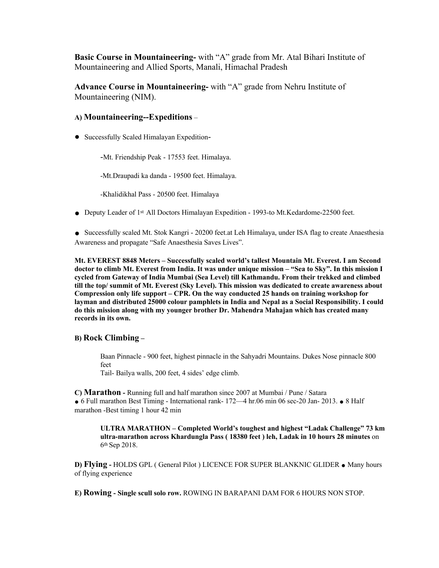**Basic Course in Mountaineering-** with "A" grade from Mr. Atal Bihari Institute of Mountaineering and Allied Sports, Manali, Himachal Pradesh

**Advance Course in Mountaineering-** with "A" grade from Nehru Institute of Mountaineering (NIM).

#### **A) Mountaineering--Expeditions** –

● Successfully Scaled Himalayan Expedition-

-Mt. Friendship Peak - 17553 feet. Himalaya.

-Mt.Draupadi ka danda - 19500 feet. Himalaya.

-Khalidikhal Pass - 20500 feet. Himalaya

● Deputy Leader of 1<sup>st</sup> All Doctors Himalayan Expedition - 1993-to Mt.Kedardome-22500 feet.

● Successfully scaled Mt. Stok Kangri - 20200 feet.at Leh Himalaya, under ISA flag to create Anaesthesia Awareness and propagate "Safe Anaesthesia Saves Lives".

**Mt. EVEREST 8848 Meters – Successfully scaled world's tallest Mountain Mt. Everest. I am Second doctor to climb Mt. Everest from India. It was under unique mission – "Sea to Sky". In this mission I cycled from Gateway of India Mumbai (Sea Level) till Kathmandu. From their trekked and climbed till the top/ summit of Mt. Everest (Sky Level). This mission was dedicated to create awareness about Compression only life support – CPR. On the way conducted 25 hands on training workshop for layman and distributed 25000 colour pamphlets in India and Nepal as a Social Responsibility. I could do this mission along with my younger brother Dr. Mahendra Mahajan which has created many records in its own.** 

#### **B) Rock Climbing –**

Baan Pinnacle - 900 feet, highest pinnacle in the Sahyadri Mountains. Dukes Nose pinnacle 800 feet

Tail- Bailya walls, 200 feet, 4 sides' edge climb.

**C) Marathon -** Running full and half marathon since 2007 at Mumbai / Pune / Satara ● 6 Full marathon Best Timing - International rank- 172—4 hr.06 min 06 sec-20 Jan- 2013. ● 8 Half marathon -Best timing 1 hour 42 min

**ULTRA MARATHON – Completed World's toughest and highest "Ladak Challenge" 73 km ultra-marathon across Khardungla Pass ( 18380 feet ) leh, Ladak in 10 hours 28 minutes** on 6th Sep 2018.

**D) Flying -** HOLDS GPL ( General Pilot ) LICENCE FOR SUPER BLANKNIC GLIDER ● Many hours of flying experience

**E) Rowing - Single scull solo row.** ROWING IN BARAPANI DAM FOR 6 HOURS NON STOP.